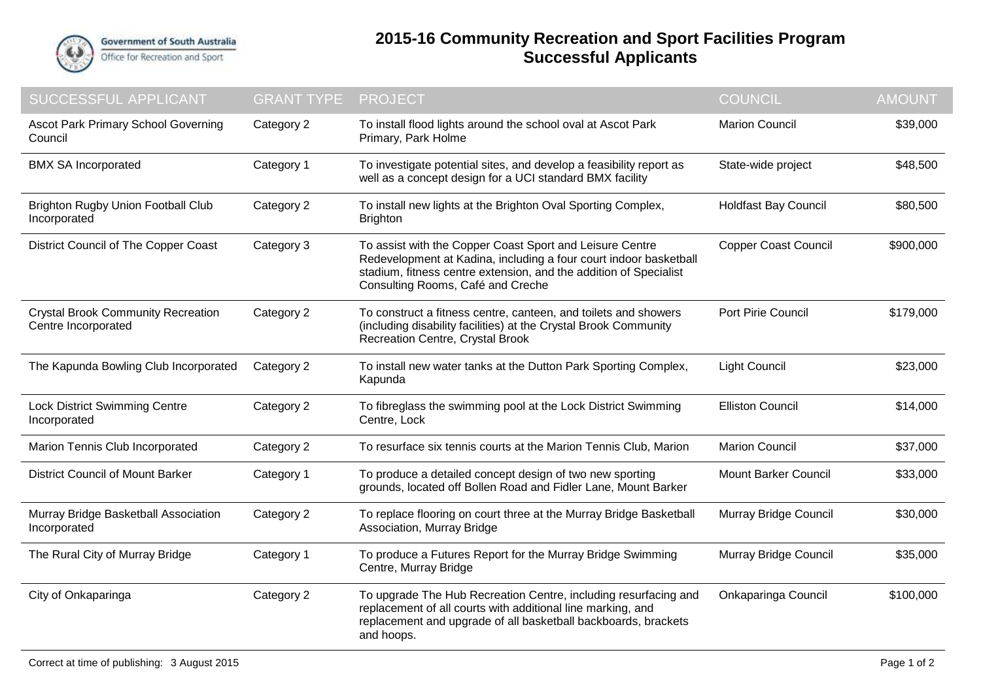

## **2015-16 Community Recreation and Sport Facilities Program Successful Applicants**

| <b>SUCCESSFUL APPLICANT</b>                                      | <b>GRANT TYPE</b> | <b>PROJECT</b>                                                                                                                                                                                                                          | <b>COUNCIL</b>              | <b>AMOUNT</b> |
|------------------------------------------------------------------|-------------------|-----------------------------------------------------------------------------------------------------------------------------------------------------------------------------------------------------------------------------------------|-----------------------------|---------------|
| Ascot Park Primary School Governing<br>Council                   | Category 2        | To install flood lights around the school oval at Ascot Park<br>Primary, Park Holme                                                                                                                                                     | <b>Marion Council</b>       | \$39,000      |
| <b>BMX SA Incorporated</b>                                       | Category 1        | To investigate potential sites, and develop a feasibility report as<br>well as a concept design for a UCI standard BMX facility                                                                                                         | State-wide project          | \$48,500      |
| <b>Brighton Rugby Union Football Club</b><br>Incorporated        | Category 2        | To install new lights at the Brighton Oval Sporting Complex,<br><b>Brighton</b>                                                                                                                                                         | <b>Holdfast Bay Council</b> | \$80,500      |
| District Council of The Copper Coast                             | Category 3        | To assist with the Copper Coast Sport and Leisure Centre<br>Redevelopment at Kadina, including a four court indoor basketball<br>stadium, fitness centre extension, and the addition of Specialist<br>Consulting Rooms, Café and Creche | <b>Copper Coast Council</b> | \$900,000     |
| <b>Crystal Brook Community Recreation</b><br>Centre Incorporated | Category 2        | To construct a fitness centre, canteen, and toilets and showers<br>(including disability facilities) at the Crystal Brook Community<br>Recreation Centre, Crystal Brook                                                                 | Port Pirie Council          | \$179,000     |
| The Kapunda Bowling Club Incorporated                            | Category 2        | To install new water tanks at the Dutton Park Sporting Complex,<br>Kapunda                                                                                                                                                              | <b>Light Council</b>        | \$23,000      |
| Lock District Swimming Centre<br>Incorporated                    | Category 2        | To fibreglass the swimming pool at the Lock District Swimming<br>Centre, Lock                                                                                                                                                           | <b>Elliston Council</b>     | \$14,000      |
| Marion Tennis Club Incorporated                                  | Category 2        | To resurface six tennis courts at the Marion Tennis Club, Marion                                                                                                                                                                        | <b>Marion Council</b>       | \$37,000      |
| <b>District Council of Mount Barker</b>                          | Category 1        | To produce a detailed concept design of two new sporting<br>grounds, located off Bollen Road and Fidler Lane, Mount Barker                                                                                                              | <b>Mount Barker Council</b> | \$33,000      |
| Murray Bridge Basketball Association<br>Incorporated             | Category 2        | To replace flooring on court three at the Murray Bridge Basketball<br>Association, Murray Bridge                                                                                                                                        | Murray Bridge Council       | \$30,000      |
| The Rural City of Murray Bridge                                  | Category 1        | To produce a Futures Report for the Murray Bridge Swimming<br>Centre, Murray Bridge                                                                                                                                                     | Murray Bridge Council       | \$35,000      |
| City of Onkaparinga                                              | Category 2        | To upgrade The Hub Recreation Centre, including resurfacing and<br>replacement of all courts with additional line marking, and<br>replacement and upgrade of all basketball backboards, brackets<br>and hoops.                          | Onkaparinga Council         | \$100,000     |